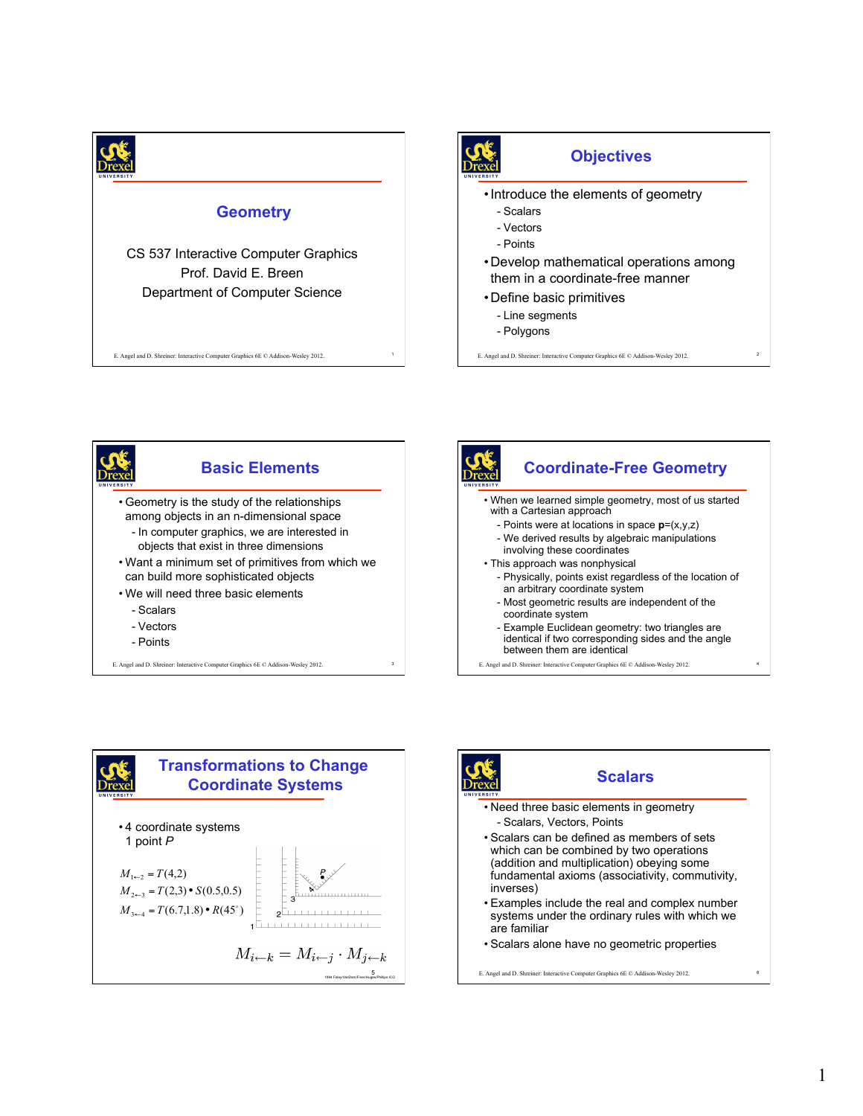

<sup>1</sup> E. Angel and D. Shreiner: Interactive Computer Graphics 6E © Addison-Wesley 2012.







- Example Euclidean geometry: two triangles are identical if two corresponding sides and the angle between them are identical

<sup>4</sup> E. Angel and D. Shreiner: Interactive Computer Graphics 6E © Addison-Wesley 2012.



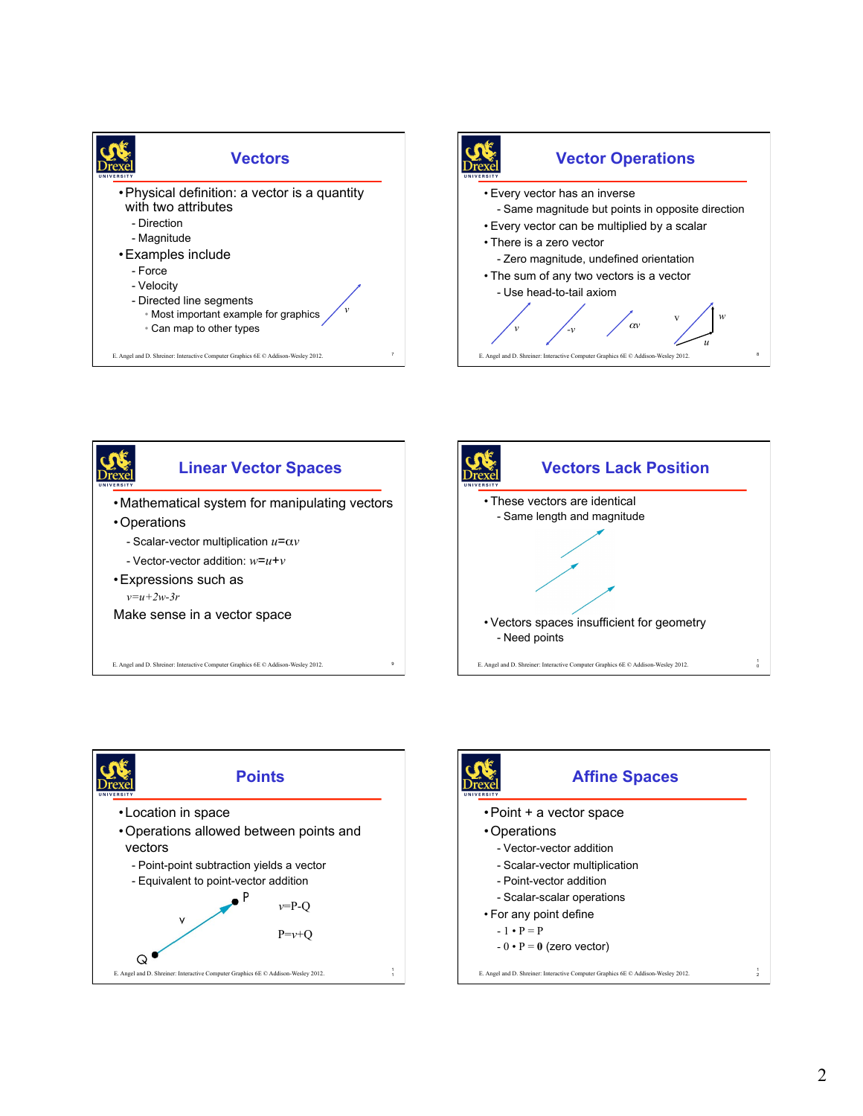











E. Angel and D. Shreiner: Interactive Computer Graphics 6E © Addison-Wesley 2012.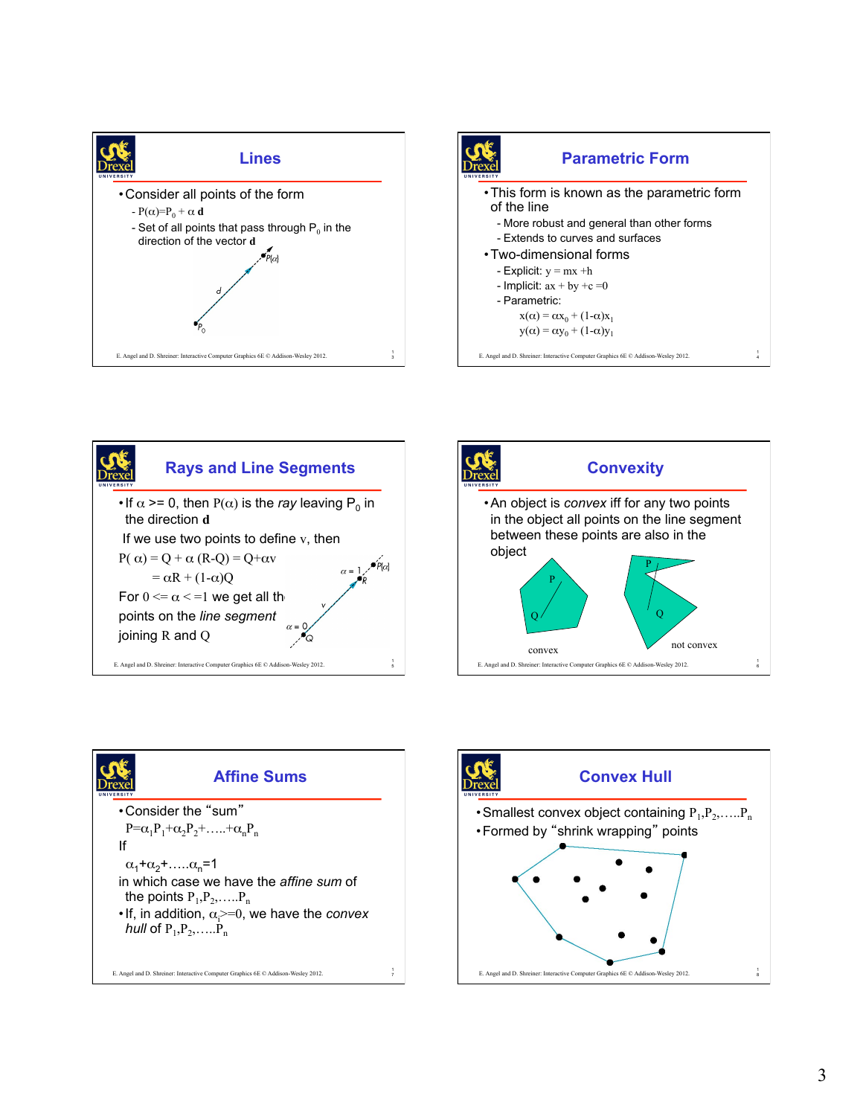









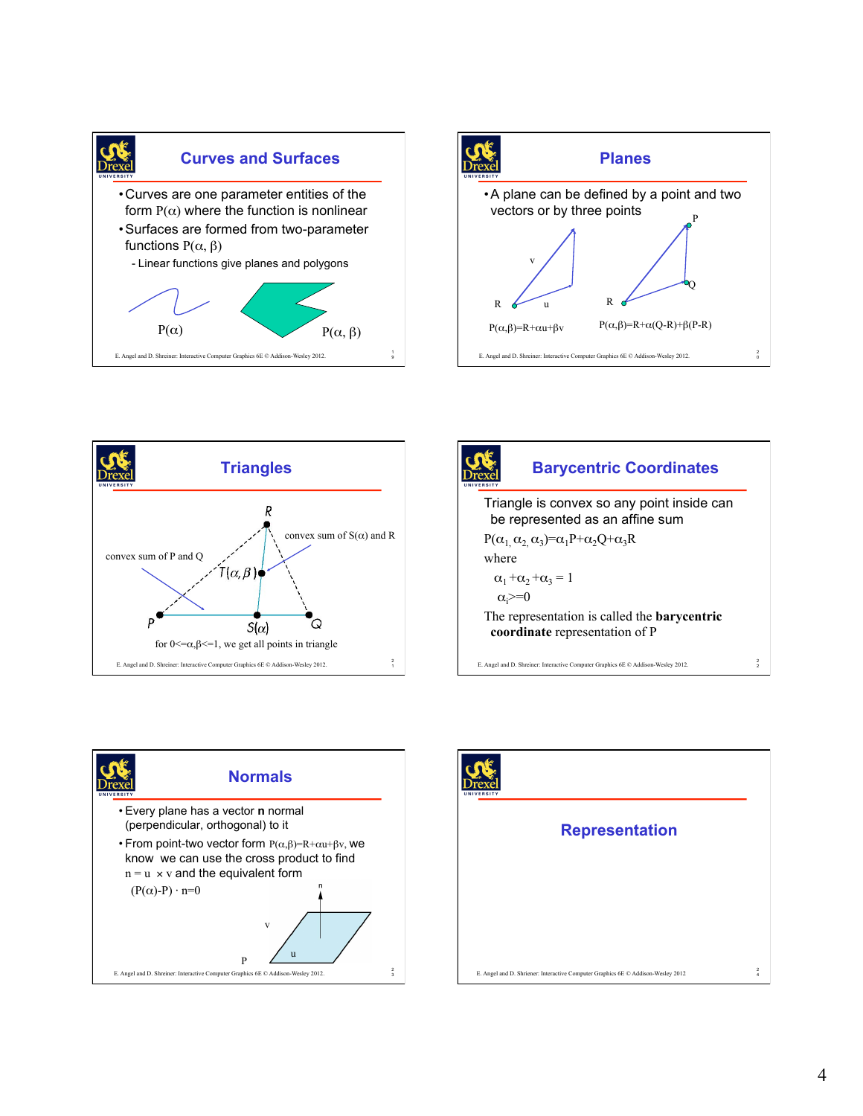









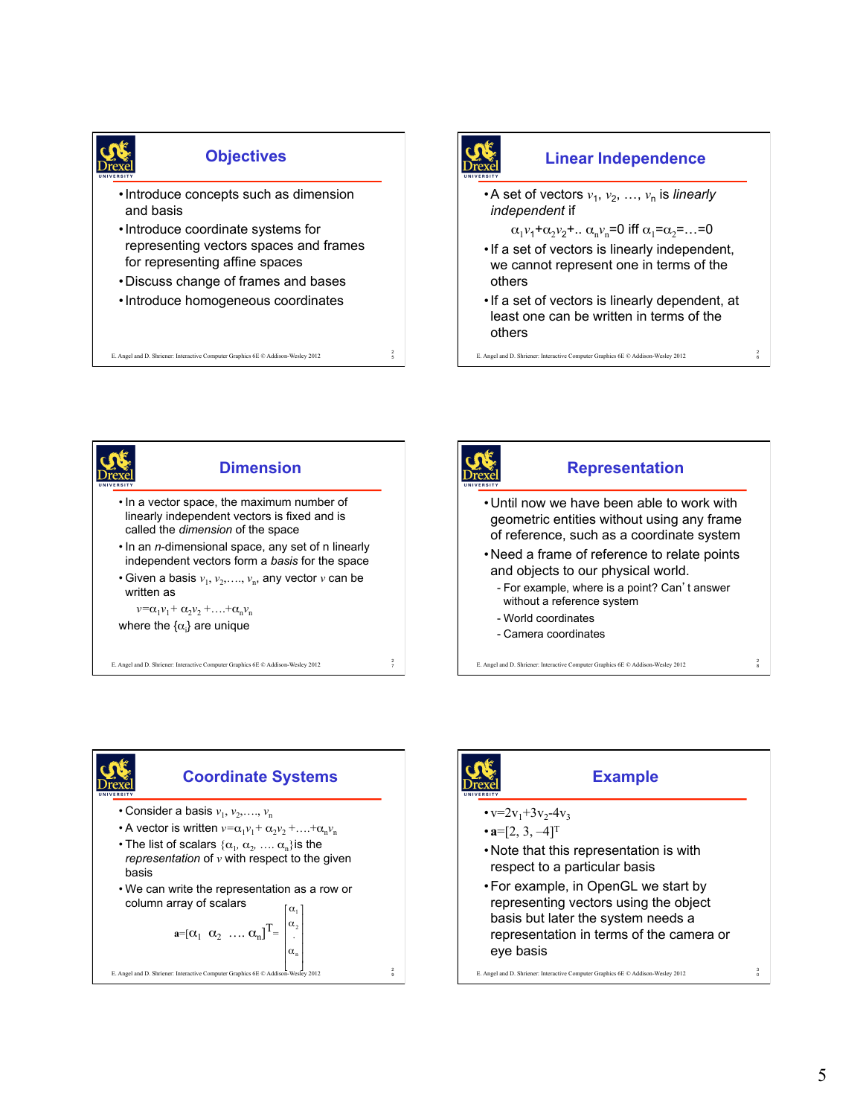

## **Objectives**

- •Introduce concepts such as dimension and basis
- •Introduce coordinate systems for representing vectors spaces and frames for representing affine spaces
- •Discuss change of frames and bases
- •Introduce homogeneous coordinates

E. Angel and D. Shriener: Interactive Computer Graphics 6E © Addison-Wesley 2012

2

• A set of vectors  $v_1, v_2, ..., v_n$  is *linearly independent* if  $\alpha_1 v_1 + \alpha_2 v_2 + \ldots \alpha_n v_n = 0$  iff  $\alpha_1 = \alpha_2 = \ldots = 0$ •If a set of vectors is linearly independent, we cannot represent one in terms of the others •If a set of vectors is linearly dependent, at least one can be written in terms of the others

**Linear Independence** 

E. Angel and D. Shriener: Interactive Computer Graphics 6E © Addison-Wesley 2012 <sup>6</sup>

2









## **Example**

- $\cdot v=2v_1+3v_2-4v_3$
- $\cdot$ **a**=[2, 3, -4]<sup>T</sup>
- •Note that this representation is with respect to a particular basis
- •For example, in OpenGL we start by representing vectors using the object basis but later the system needs a representation in terms of the camera or eye basis

E. Angel and D. Shriener: Interactive Computer Graphics 6E  $\oslash$  Addison-Wesley 2012

3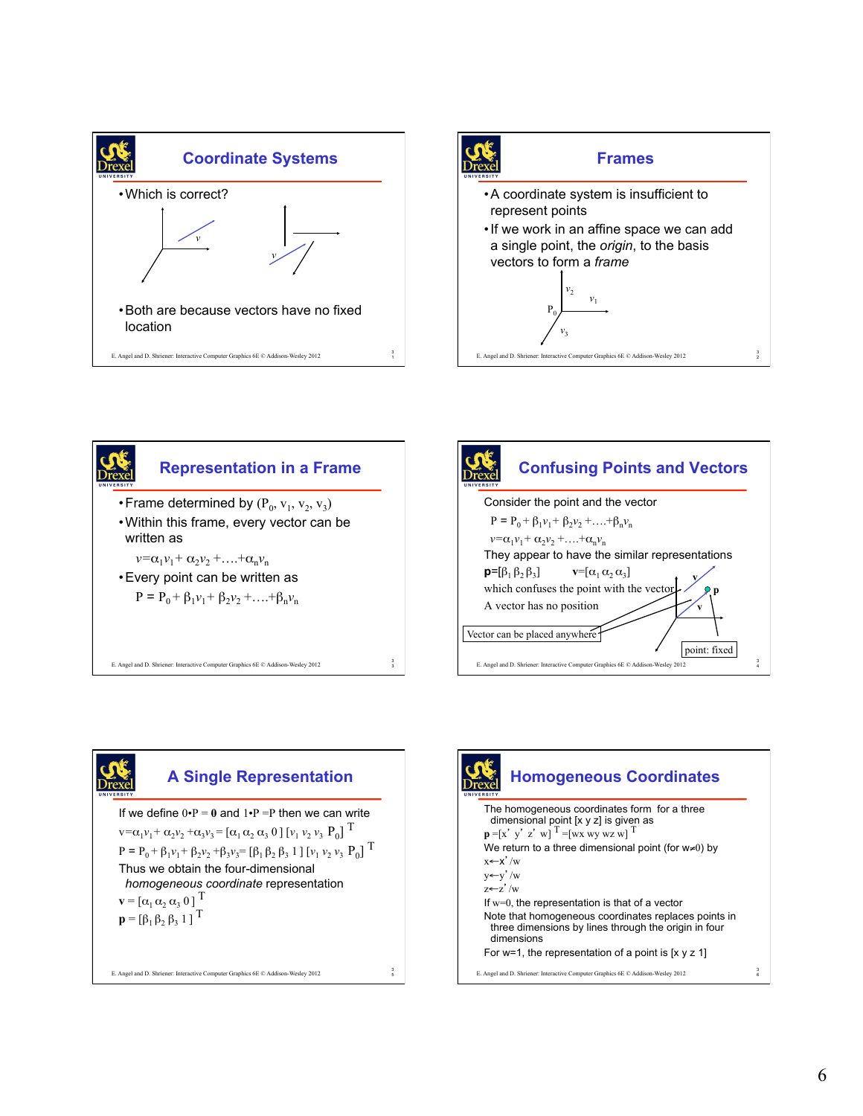









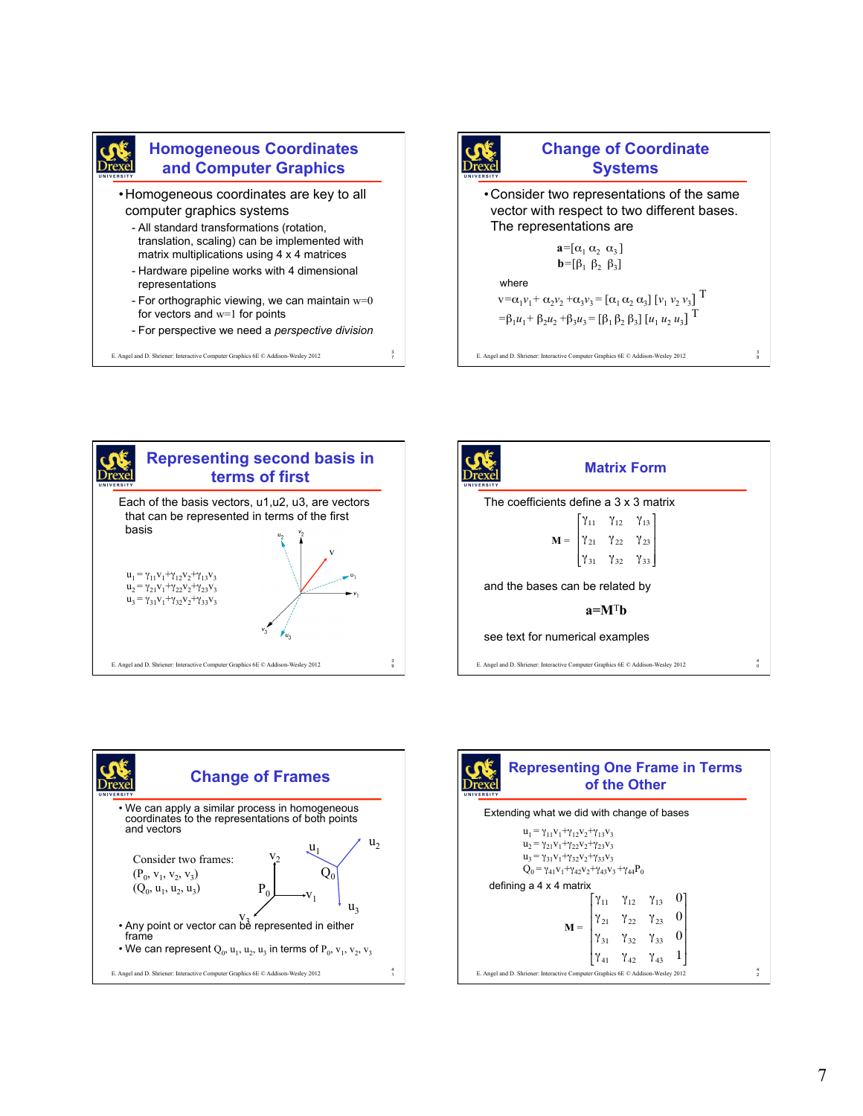

## **Homogeneous Coordinates and Computer Graphics**

- •Homogeneous coordinates are key to all computer graphics systems
	- All standard transformations (rotation, translation, scaling) can be implemented with matrix multiplications using 4 x 4 matrices
	- Hardware pipeline works with 4 dimensional representations
	- For orthographic viewing, we can maintain  $w=0$ for vectors and w=1 for points
	- For perspective we need a *perspective division*

3

E. Angel and D. Shriener: Interactive Computer Graphics 6E © Addison-Wesley 2012 <sup>7</sup>